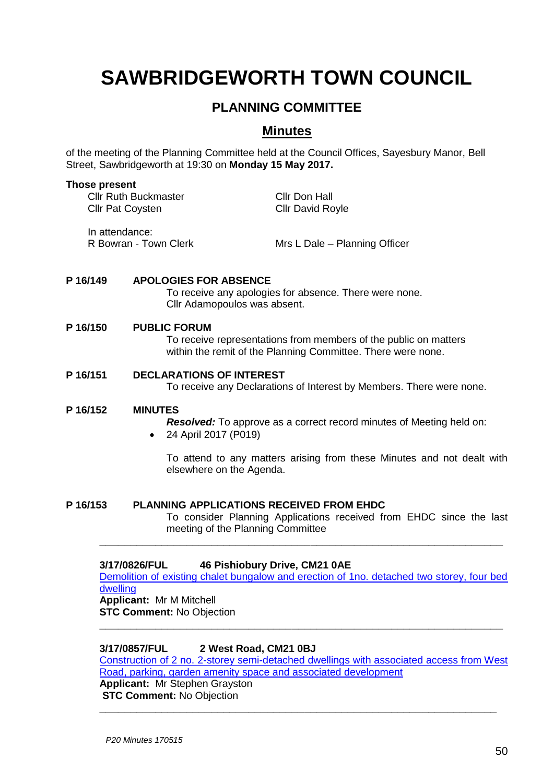# **SAWBRIDGEWORTH TOWN COUNCIL**

# **PLANNING COMMITTEE**

## **Minutes**

of the meeting of the Planning Committee held at the Council Offices, Sayesbury Manor, Bell Street, Sawbridgeworth at 19:30 on **Monday 15 May 2017.**

#### **Those present**

Cllr Ruth Buckmaster Cllr Don Hall Cllr Pat Coysten Cllr David Royle In attendance:

R Bowran - Town Clerk Mrs L Dale – Planning Officer

#### **P 16/149 APOLOGIES FOR ABSENCE**

To receive any apologies for absence. There were none. Cllr Adamopoulos was absent.

#### **P 16/150 PUBLIC FORUM**

To receive representations from members of the public on matters within the remit of the Planning Committee. There were none.

#### **P 16/151 DECLARATIONS OF INTEREST**

To receive any Declarations of Interest by Members. There were none.

#### **P 16/152 MINUTES**

*Resolved:* To approve as a correct record minutes of Meeting held on: 24 April 2017 (P019)

To attend to any matters arising from these Minutes and not dealt with elsewhere on the Agenda.

#### **P 16/153 PLANNING APPLICATIONS RECEIVED FROM EHDC**

To consider Planning Applications received from EHDC since the last meeting of the Planning Committee

#### **3/17/0826/FUL 46 Pishiobury Drive, CM21 0AE**

[Demolition of existing chalet bungalow and erection of 1no. detached two storey, four bed](https://publicaccess.eastherts.gov.uk/online-applications/applicationDetails.do?activeTab=summary&keyVal=ONU5Y5GL00X00)  [dwelling](https://publicaccess.eastherts.gov.uk/online-applications/applicationDetails.do?activeTab=summary&keyVal=ONU5Y5GL00X00) **Applicant:** Mr M Mitchell

**\_\_\_\_\_\_\_\_\_\_\_\_\_\_\_\_\_\_\_\_\_\_\_\_\_\_\_\_\_\_\_\_\_\_\_\_\_\_\_\_\_\_\_\_\_\_\_\_\_\_\_\_\_\_\_\_\_\_\_\_\_\_\_\_\_**

**STC Comment:** No Objection **\_\_\_\_\_\_\_\_\_\_\_\_\_\_\_\_\_\_\_\_\_\_\_\_\_\_\_\_\_\_\_\_\_\_\_\_\_\_\_\_\_\_\_\_\_\_\_\_\_\_\_\_\_\_\_\_\_\_\_\_\_\_\_\_\_**

#### **3/17/0857/FUL 2 West Road, CM21 0BJ**

[Construction of 2 no. 2-storey semi-detached dwellings with associated access from West](https://publicaccess.eastherts.gov.uk/online-applications/applicationDetails.do?activeTab=summary&keyVal=OO1DCBGLGCI00)  [Road, parking, garden amenity space and associated development](https://publicaccess.eastherts.gov.uk/online-applications/applicationDetails.do?activeTab=summary&keyVal=OO1DCBGLGCI00)

**\_\_\_\_\_\_\_\_\_\_\_\_\_\_\_\_\_\_\_\_\_\_\_\_\_\_\_\_\_\_\_\_\_\_\_\_\_\_\_\_\_\_\_\_\_\_\_\_\_\_\_\_\_\_\_\_\_\_\_\_\_\_\_\_**

**Applicant:** Mr Stephen Grayston **STC Comment:** No Objection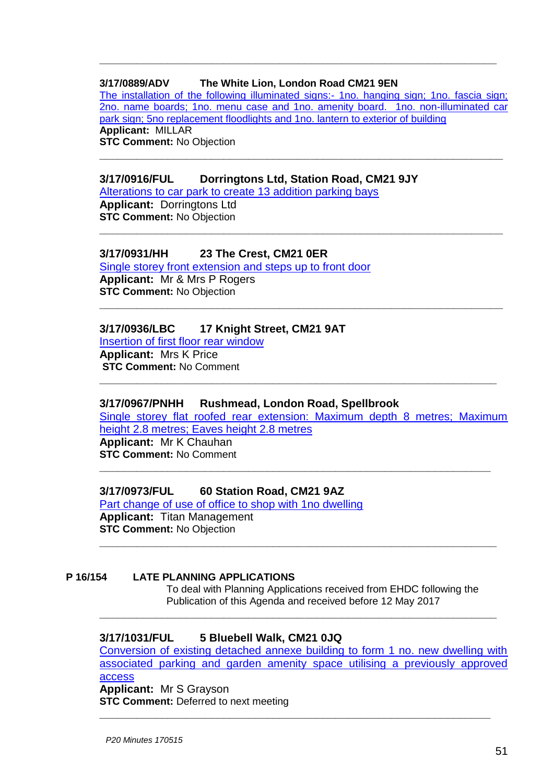#### **3/17/0889/ADV The White Lion, London Road CM21 9EN**

[The installation of the following illuminated signs:-](https://publicaccess.eastherts.gov.uk/online-applications/applicationDetails.do?activeTab=summary&keyVal=OO8GTRGLGE400) 1no. hanging sign; 1no. fascia sign; [2no. name boards; 1no. menu case and 1no. amenity board. 1no. non-illuminated car](https://publicaccess.eastherts.gov.uk/online-applications/applicationDetails.do?activeTab=summary&keyVal=OO8GTRGLGE400)  [park sign; 5no replacement floodlights and 1no. lantern to exterior of building](https://publicaccess.eastherts.gov.uk/online-applications/applicationDetails.do?activeTab=summary&keyVal=OO8GTRGLGE400) **Applicant:** MILLAR **STC Comment:** No Objection

**\_\_\_\_\_\_\_\_\_\_\_\_\_\_\_\_\_\_\_\_\_\_\_\_\_\_\_\_\_\_\_\_\_\_\_\_\_\_\_\_\_\_\_\_\_\_\_\_\_\_\_\_\_\_\_\_\_\_\_\_\_\_\_\_\_**

**\_\_\_\_\_\_\_\_\_\_\_\_\_\_\_\_\_\_\_\_\_\_\_\_\_\_\_\_\_\_\_\_\_\_\_\_\_\_\_\_\_\_\_\_\_\_\_\_\_\_\_\_\_\_\_\_\_\_\_\_\_\_\_\_\_**

**\_\_\_\_\_\_\_\_\_\_\_\_\_\_\_\_\_\_\_\_\_\_\_\_\_\_\_\_\_\_\_\_\_\_\_\_\_\_\_\_\_\_\_\_\_\_\_\_\_\_\_\_\_\_\_\_\_\_\_\_\_\_\_\_**

#### **3/17/0916/FUL Dorringtons Ltd, Station Road, CM21 9JY**

[Alterations to car park to create 13 addition parking bays](https://publicaccess.eastherts.gov.uk/online-applications/applicationDetails.do?activeTab=summary&keyVal=OOCSE3GLGFA00) **Applicant:** Dorringtons Ltd **STC Comment:** No Objection

#### **3/17/0931/HH 23 The Crest, CM21 0ER**

[Single storey front extension and steps up to front door](https://publicaccess.eastherts.gov.uk/online-applications/applicationDetails.do?activeTab=summary&keyVal=OONA76GLGGH00) **Applicant:** Mr & Mrs P Rogers **STC Comment:** No Objection **\_\_\_\_\_\_\_\_\_\_\_\_\_\_\_\_\_\_\_\_\_\_\_\_\_\_\_\_\_\_\_\_\_\_\_\_\_\_\_\_\_\_\_\_\_\_\_\_\_\_\_\_\_\_\_\_\_\_\_\_\_\_\_\_\_**

#### **3/17/0936/LBC 17 Knight Street, CM21 9AT**

[Insertion of first floor rear window](https://publicaccess.eastherts.gov.uk/online-applications/applicationDetails.do?activeTab=summary&keyVal=OONWGNGLGGV00) **Applicant:** Mrs K Price **STC Comment:** No Comment

#### **3/17/0967/PNHH Rushmead, London Road, Spellbrook**

[Single storey flat roofed rear extension: Maximum depth 8 metres; Maximum](https://publicaccess.eastherts.gov.uk/online-applications/applicationDetails.do?activeTab=summary&keyVal=OOX1ECGL00X00)  [height 2.8 metres; Eaves height 2.8 metres](https://publicaccess.eastherts.gov.uk/online-applications/applicationDetails.do?activeTab=summary&keyVal=OOX1ECGL00X00) **Applicant:** Mr K Chauhan

**\_\_\_\_\_\_\_\_\_\_\_\_\_\_\_\_\_\_\_\_\_\_\_\_\_\_\_\_\_\_\_\_\_\_\_\_\_\_\_\_\_\_\_\_\_\_\_\_\_\_\_\_\_\_\_\_\_\_\_\_\_\_\_**

**\_\_\_\_\_\_\_\_\_\_\_\_\_\_\_\_\_\_\_\_\_\_\_\_\_\_\_\_\_\_\_\_\_\_\_\_\_\_\_\_\_\_\_\_\_\_\_\_\_\_\_\_\_\_\_\_\_\_\_\_\_\_\_\_**

**STC Comment:** No Comment

#### **3/17/0973/FUL 60 Station Road, CM21 9AZ**

[Part change of use of office to shop with 1no dwelling](https://publicaccess.eastherts.gov.uk/online-applications/applicationDetails.do?activeTab=summary&keyVal=OOX38MGL00X00) **Applicant:** Titan Management **STC Comment:** No Objection **\_\_\_\_\_\_\_\_\_\_\_\_\_\_\_\_\_\_\_\_\_\_\_\_\_\_\_\_\_\_\_\_\_\_\_\_\_\_\_\_\_\_\_\_\_\_\_\_\_\_\_\_\_\_\_\_\_\_\_\_\_\_\_\_**

#### **P 16/154 LATE PLANNING APPLICATIONS**

To deal with Planning Applications received from EHDC following the Publication of this Agenda and received before 12 May 2017

#### **3/17/1031/FUL 5 Bluebell Walk, CM21 0JQ**

Conversion of existing detached annexe building to form 1 no. new dwelling with associated parking and garden amenity space utilising a previously approved access **Applicant:** Mr S Grayson

**\_\_\_\_\_\_\_\_\_\_\_\_\_\_\_\_\_\_\_\_\_\_\_\_\_\_\_\_\_\_\_\_\_\_\_\_\_\_\_\_\_\_\_\_\_\_\_\_\_\_\_\_\_\_\_\_\_\_\_\_\_\_\_\_**

**STC Comment:** Deferred to next meeting **\_\_\_\_\_\_\_\_\_\_\_\_\_\_\_\_\_\_\_\_\_\_\_\_\_\_\_\_\_\_\_\_\_\_\_\_\_\_\_\_\_\_\_\_\_\_\_\_\_\_\_\_\_\_\_\_\_\_\_\_\_\_\_**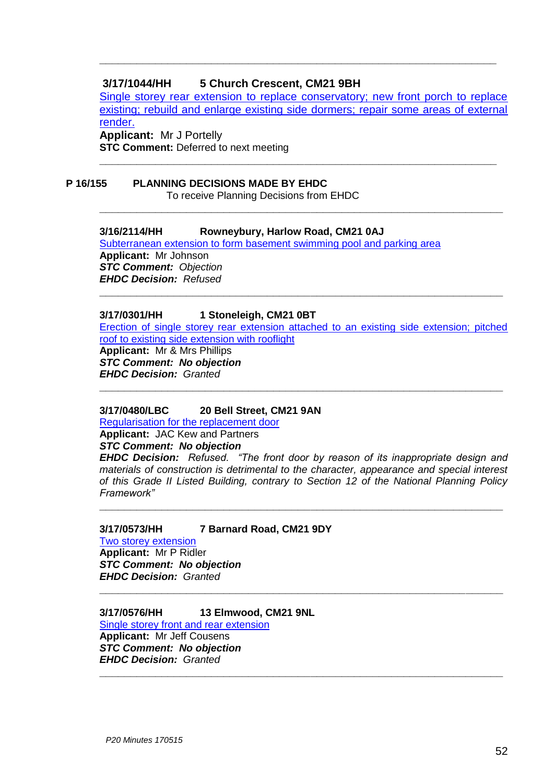#### **3/17/1044/HH 5 Church Crescent, CM21 9BH**

Single storey rear extension to replace conservatory; new front porch to replace existing; rebuild and enlarge existing side dormers; repair some areas of external render. **Applicant:** Mr J Portelly

**\_\_\_\_\_\_\_\_\_\_\_\_\_\_\_\_\_\_\_\_\_\_\_\_\_\_\_\_\_\_\_\_\_\_\_\_\_\_\_\_\_\_\_\_\_\_\_\_\_\_\_\_\_\_\_\_\_\_\_\_\_\_\_\_**

**\_\_\_\_\_\_\_\_\_\_\_\_\_\_\_\_\_\_\_\_\_\_\_\_\_\_\_\_\_\_\_\_\_\_\_\_\_\_\_\_\_\_\_\_\_\_\_\_\_\_\_\_\_\_\_\_\_\_\_\_\_\_\_\_\_**

**\_\_\_\_\_\_\_\_\_\_\_\_\_\_\_\_\_\_\_\_\_\_\_\_\_\_\_\_\_\_\_\_\_\_\_\_\_\_\_\_\_\_\_\_\_\_\_\_\_\_\_\_\_\_\_\_\_\_\_\_\_\_\_\_**

**STC Comment:** Deferred to next meeting

# **P 16/155 PLANNING DECISIONS MADE BY EHDC**

To receive Planning Decisions from EHDC

#### **3/16/2114/HH Rowneybury, Harlow Road, CM21 0AJ**  [Subterranean extension to form basement swimming pool and parking area](https://publicaccess.eastherts.gov.uk/online-applications/applicationDetails.do?activeTab=summary&keyVal=ODL4TUGLLG600) **Applicant:** Mr Johnson *STC Comment: Objection EHDC Decision: Refused*

#### **3/17/0301/HH 1 Stoneleigh, CM21 0BT**

[Erection of single storey rear extension attached to an existing side extension; pitched](https://publicaccess.eastherts.gov.uk/online-applications/applicationDetails.do?activeTab=summary&keyVal=OL1Q8WGLFHO00)  [roof to existing side extension with rooflight](https://publicaccess.eastherts.gov.uk/online-applications/applicationDetails.do?activeTab=summary&keyVal=OL1Q8WGLFHO00) **Applicant:** Mr & Mrs Phillips *STC Comment: No objection EHDC Decision: Granted*

**\_\_\_\_\_\_\_\_\_\_\_\_\_\_\_\_\_\_\_\_\_\_\_\_\_\_\_\_\_\_\_\_\_\_\_\_\_\_\_\_\_\_\_\_\_\_\_\_\_\_\_\_\_\_\_\_\_\_\_\_\_\_\_\_\_**

**\_\_\_\_\_\_\_\_\_\_\_\_\_\_\_\_\_\_\_\_\_\_\_\_\_\_\_\_\_\_\_\_\_\_\_\_\_\_\_\_\_\_\_\_\_\_\_\_\_\_\_\_\_\_\_\_\_\_\_\_\_\_\_\_\_**

#### **3/17/0480/LBC 20 Bell Street, CM21 9AN**

[Regularisation for the replacement door](https://publicaccess.eastherts.gov.uk/online-applications/applicationDetails.do?activeTab=summary&keyVal=OLVPA5GL00B00)

#### **Applicant:** JAC Kew and Partners *STC Comment: No objection*

*EHDC Decision: Refused. "The front door by reason of its inappropriate design and materials of construction is detrimental to the character, appearance and special interest of this Grade II Listed Building, contrary to Section 12 of the National Planning Policy Framework"*

**\_\_\_\_\_\_\_\_\_\_\_\_\_\_\_\_\_\_\_\_\_\_\_\_\_\_\_\_\_\_\_\_\_\_\_\_\_\_\_\_\_\_\_\_\_\_\_\_\_\_\_\_\_\_\_\_\_\_\_\_\_\_\_\_\_**

**\_\_\_\_\_\_\_\_\_\_\_\_\_\_\_\_\_\_\_\_\_\_\_\_\_\_\_\_\_\_\_\_\_\_\_\_\_\_\_\_\_\_\_\_\_\_\_\_\_\_\_\_\_\_\_\_\_\_\_\_\_\_\_\_\_**

**\_\_\_\_\_\_\_\_\_\_\_\_\_\_\_\_\_\_\_\_\_\_\_\_\_\_\_\_\_\_\_\_\_\_\_\_\_\_\_\_\_\_\_\_\_\_\_\_\_\_\_\_\_\_\_\_\_\_\_\_\_\_\_\_\_**

#### **3/17/0573/HH 7 Barnard Road, CM21 9DY**

[Two storey extension](https://publicaccess.eastherts.gov.uk/online-applications/applicationDetails.do?activeTab=summary&keyVal=OMG0R1GL00X00) **Applicant:** Mr P Ridler *STC Comment: No objection EHDC Decision: Granted*

#### **3/17/0576/HH 13 Elmwood, CM21 9NL**  [Single storey front and rear extension](https://publicaccess.eastherts.gov.uk/online-applications/applicationDetails.do?activeTab=summary&keyVal=OMGCJ5GLFWD00) **Applicant:** Mr Jeff Cousens *STC Comment: No objection EHDC Decision: Granted*